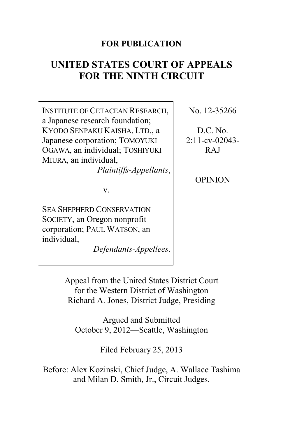### **FOR PUBLICATION**

# **UNITED STATES COURT OF APPEALS FOR THE NINTH CIRCUIT**

INSTITUTE OF CETACEAN RESEARCH, a Japanese research foundation; KYODO SENPAKU KAISHA, LTD., a Japanese corporation; TOMOYUKI OGAWA, an individual; TOSHIYUKI MIURA, an individual,

*Plaintiffs-Appellants*,

v.

SEA SHEPHERD CONSERVATION SOCIETY, an Oregon nonprofit corporation; PAUL WATSON, an individual,

*Defendants-Appellees*.

No. 12-35266

D.C. No. 2:11-cv-02043- RAJ

**OPINION** 

Appeal from the United States District Court for the Western District of Washington Richard A. Jones, District Judge, Presiding

Argued and Submitted October 9, 2012—Seattle, Washington

Filed February 25, 2013

Before: Alex Kozinski, Chief Judge, A. Wallace Tashima and Milan D. Smith, Jr., Circuit Judges.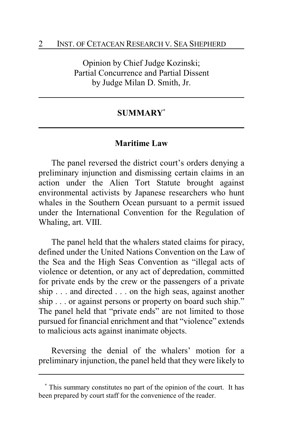Opinion by Chief Judge Kozinski; Partial Concurrence and Partial Dissent by Judge Milan D. Smith, Jr.

#### **SUMMARY\***

#### **Maritime Law**

The panel reversed the district court's orders denying a preliminary injunction and dismissing certain claims in an action under the Alien Tort Statute brought against environmental activists by Japanese researchers who hunt whales in the Southern Ocean pursuant to a permit issued under the International Convention for the Regulation of Whaling, art. VIII.

The panel held that the whalers stated claims for piracy, defined under the United Nations Convention on the Law of the Sea and the High Seas Convention as "illegal acts of violence or detention, or any act of depredation, committed for private ends by the crew or the passengers of a private ship . . . and directed . . . on the high seas, against another ship . . . or against persons or property on board such ship." The panel held that "private ends" are not limited to those pursued for financial enrichment and that "violence" extends to malicious acts against inanimate objects.

Reversing the denial of the whalers' motion for a preliminary injunction, the panel held that they were likely to

**<sup>\*</sup>** This summary constitutes no part of the opinion of the court. It has been prepared by court staff for the convenience of the reader.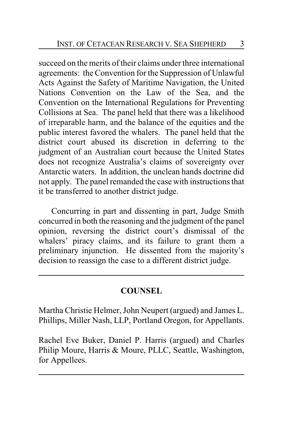succeed on the merits of their claims under three international agreements: the Convention for the Suppression of Unlawful Acts Against the Safety of Maritime Navigation, the United Nations Convention on the Law of the Sea, and the Convention on the International Regulations for Preventing Collisions at Sea. The panel held that there was a likelihood of irreparable harm, and the balance of the equities and the public interest favored the whalers. The panel held that the district court abused its discretion in deferring to the judgment of an Australian court because the United States does not recognize Australia's claims of sovereignty over Antarctic waters. In addition, the unclean hands doctrine did not apply. The panel remanded the case with instructions that it be transferred to another district judge.

Concurring in part and dissenting in part, Judge Smith concurred in both the reasoning and the judgment of the panel opinion, reversing the district court's dismissal of the whalers' piracy claims, and its failure to grant them a preliminary injunction. He dissented from the majority's decision to reassign the case to a different district judge.

### **COUNSEL**

Martha Christie Helmer, John Neupert (argued) and James L. Phillips, Miller Nash, LLP, Portland Oregon, for Appellants.

Rachel Eve Buker, Daniel P. Harris (argued) and Charles Philip Moure, Harris & Moure, PLLC, Seattle, Washington, for Appellees.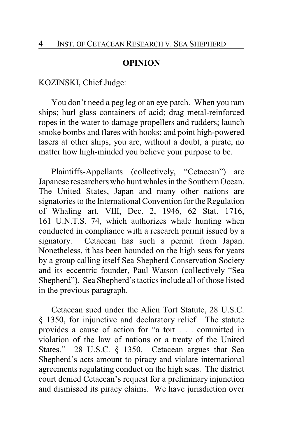#### **OPINION**

#### KOZINSKI, Chief Judge:

You don't need a peg leg or an eye patch. When you ram ships; hurl glass containers of acid; drag metal-reinforced ropes in the water to damage propellers and rudders; launch smoke bombs and flares with hooks; and point high-powered lasers at other ships, you are, without a doubt, a pirate, no matter how high-minded you believe your purpose to be.

Plaintiffs-Appellants (collectively, "Cetacean") are Japanese researchers who hunt whales in the Southern Ocean. The United States, Japan and many other nations are signatories to the International Convention for the Regulation of Whaling art. VIII, Dec. 2, 1946, 62 Stat. 1716, 161 U.N.T.S. 74, which authorizes whale hunting when conducted in compliance with a research permit issued by a signatory. Cetacean has such a permit from Japan. Nonetheless, it has been hounded on the high seas for years by a group calling itself Sea Shepherd Conservation Society and its eccentric founder, Paul Watson (collectively "Sea Shepherd"). Sea Shepherd's tactics include all of those listed in the previous paragraph.

Cetacean sued under the Alien Tort Statute, 28 U.S.C. § 1350, for injunctive and declaratory relief. The statute provides a cause of action for "a tort . . . committed in violation of the law of nations or a treaty of the United States." 28 U.S.C. § 1350. Cetacean argues that Sea Shepherd's acts amount to piracy and violate international agreements regulating conduct on the high seas. The district court denied Cetacean's request for a preliminary injunction and dismissed its piracy claims. We have jurisdiction over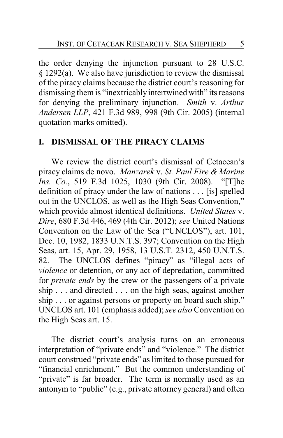the order denying the injunction pursuant to 28 U.S.C. § 1292(a). We also have jurisdiction to review the dismissal of the piracy claims because the district court's reasoning for dismissing them is "inextricably intertwined with" its reasons for denying the preliminary injunction. *Smith* v. *Arthur Andersen LLP*, 421 F.3d 989, 998 (9th Cir. 2005) (internal quotation marks omitted).

#### **I. DISMISSAL OF THE PIRACY CLAIMS**

We review the district court's dismissal of Cetacean's piracy claims de novo. *Manzarek* v. *St. Paul Fire & Marine Ins. Co.*, 519 F.3d 1025, 1030 (9th Cir. 2008). "[T]he definition of piracy under the law of nations . . . [is] spelled out in the UNCLOS, as well as the High Seas Convention," which provide almost identical definitions. *United States* v. *Dire*, 680 F.3d 446, 469 (4th Cir. 2012); *see* United Nations Convention on the Law of the Sea ("UNCLOS"), art. 101, Dec. 10, 1982, 1833 U.N.T.S. 397; Convention on the High Seas, art. 15, Apr. 29, 1958, 13 U.S.T. 2312, 450 U.N.T.S. 82. The UNCLOS defines "piracy" as "illegal acts of *violence* or detention, or any act of depredation, committed for *private ends* by the crew or the passengers of a private ship . . . and directed . . . on the high seas, against another ship . . . or against persons or property on board such ship." UNCLOS art. 101 (emphasis added); *see also* Convention on the High Seas art. 15.

The district court's analysis turns on an erroneous interpretation of "private ends" and "violence." The district court construed "private ends" as limited to those pursued for "financial enrichment." But the common understanding of "private" is far broader. The term is normally used as an antonym to "public" (e.g., private attorney general) and often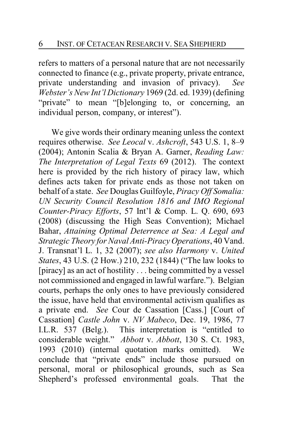refers to matters of a personal nature that are not necessarily connected to finance (e.g., private property, private entrance, private understanding and invasion of privacy). *See Webster's New Int'l Dictionary* 1969 (2d. ed. 1939) (defining "private" to mean "[b]elonging to, or concerning, an individual person, company, or interest").

We give words their ordinary meaning unless the context requires otherwise. *See Leocal* v. *Ashcroft*, 543 U.S. 1, 8–9 (2004); Antonin Scalia & Bryan A. Garner, *Reading Law: The Interpretation of Legal Texts* 69 (2012). The context here is provided by the rich history of piracy law, which defines acts taken for private ends as those not taken on behalf of a state. *See* Douglas Guilfoyle, *Piracy Off Somalia: UN Security Council Resolution 1816 and IMO Regional Counter-Piracy Efforts*, 57 Int'l & Comp. L. Q. 690, 693 (2008) (discussing the High Seas Convention); Michael Bahar, *Attaining Optimal Deterrence at Sea: A Legal and Strategic Theory for Naval Anti-Piracy Operations*, 40 Vand. J. Transnat'l L. 1, 32 (2007); *see also Harmony* v. *United States*, 43 U.S. (2 How.) 210, 232 (1844) ("The law looks to [piracy] as an act of hostility . . . being committed by a vessel not commissioned and engaged in lawful warfare."). Belgian courts, perhaps the only ones to have previously considered the issue, have held that environmental activism qualifies as a private end. *See* Cour de Cassation [Cass.] [Court of Cassation] *Castle John* v. *NV Mabeco*, Dec. 19, 1986, 77 I.L.R. 537 (Belg.). This interpretation is "entitled to considerable weight." *Abbott* v. *Abbott*, 130 S. Ct. 1983, 1993 (2010) (internal quotation marks omitted). We conclude that "private ends" include those pursued on personal, moral or philosophical grounds, such as Sea Shepherd's professed environmental goals. That the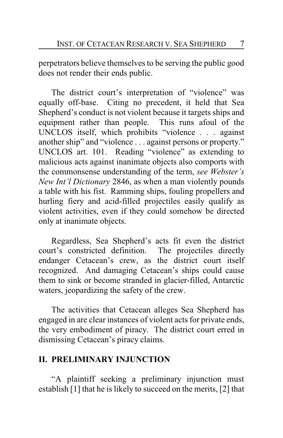perpetrators believe themselves to be serving the public good does not render their ends public.

The district court's interpretation of "violence" was equally off-base. Citing no precedent, it held that Sea Shepherd's conduct is not violent because it targets ships and equipment rather than people. This runs afoul of the UNCLOS itself, which prohibits "violence . . . against another ship" and "violence . . . against persons or property." UNCLOS art. 101. Reading "violence" as extending to malicious acts against inanimate objects also comports with the commonsense understanding of the term, *see Webster's New Int'l Dictionary* 2846, as when a man violently pounds a table with his fist. Ramming ships, fouling propellers and hurling fiery and acid-filled projectiles easily qualify as violent activities, even if they could somehow be directed only at inanimate objects.

Regardless, Sea Shepherd's acts fit even the district court's constricted definition. The projectiles directly endanger Cetacean's crew, as the district court itself recognized. And damaging Cetacean's ships could cause them to sink or become stranded in glacier-filled, Antarctic waters, jeopardizing the safety of the crew.

The activities that Cetacean alleges Sea Shepherd has engaged in are clear instances of violent acts for private ends, the very embodiment of piracy. The district court erred in dismissing Cetacean's piracy claims.

#### **II. PRELIMINARY INJUNCTION**

"A plaintiff seeking a preliminary injunction must establish [1] that he is likely to succeed on the merits, [2] that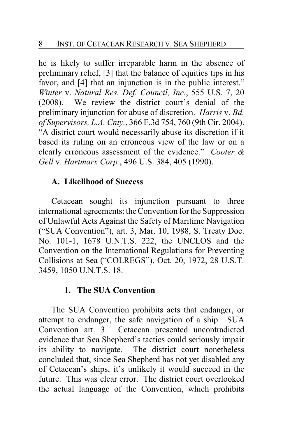he is likely to suffer irreparable harm in the absence of preliminary relief, [3] that the balance of equities tips in his favor, and [4] that an injunction is in the public interest." *Winter* v. *Natural Res. Def. Council, Inc.*, 555 U.S. 7, 20 (2008). We review the district court's denial of the preliminary injunction for abuse of discretion. *Harris* v. *Bd. of Supervisors, L.A. Cnty.*, 366 F.3d 754, 760 (9th Cir. 2004). "A district court would necessarily abuse its discretion if it based its ruling on an erroneous view of the law or on a clearly erroneous assessment of the evidence." *Cooter & Gell* v. *Hartmarx Corp.*, 496 U.S. 384, 405 (1990).

### **A. Likelihood of Success**

Cetacean sought its injunction pursuant to three international agreements: the Convention for the Suppression of Unlawful Acts Against the Safety of Maritime Navigation ("SUA Convention"), art. 3, Mar. 10, 1988, S. Treaty Doc. No. 101-1, 1678 U.N.T.S. 222, the UNCLOS and the Convention on the International Regulations for Preventing Collisions at Sea ("COLREGS"), Oct. 20, 1972, 28 U.S.T. 3459, 1050 U.N.T.S. 18.

### **1. The SUA Convention**

The SUA Convention prohibits acts that endanger, or attempt to endanger, the safe navigation of a ship. SUA Convention art. 3. Cetacean presented uncontradicted evidence that Sea Shepherd's tactics could seriously impair its ability to navigate. The district court nonetheless concluded that, since Sea Shepherd has not yet disabled any of Cetacean's ships, it's unlikely it would succeed in the future. This was clear error. The district court overlooked the actual language of the Convention, which prohibits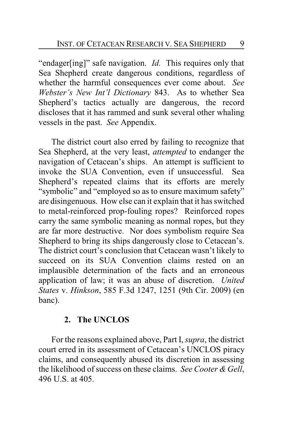"endager[ing]" safe navigation. *Id.* This requires only that Sea Shepherd create dangerous conditions, regardless of whether the harmful consequences ever come about. *See Webster's New Int'l Dictionary* 843. As to whether Sea Shepherd's tactics actually are dangerous, the record discloses that it has rammed and sunk several other whaling vessels in the past. *See* Appendix.

The district court also erred by failing to recognize that Sea Shepherd, at the very least, *attempted* to endanger the navigation of Cetacean's ships. An attempt is sufficient to invoke the SUA Convention, even if unsuccessful. Sea Shepherd's repeated claims that its efforts are merely "symbolic" and "employed so as to ensure maximum safety" are disingenuous. How else can it explain that it has switched to metal-reinforced prop-fouling ropes? Reinforced ropes carry the same symbolic meaning as normal ropes, but they are far more destructive. Nor does symbolism require Sea Shepherd to bring its ships dangerously close to Cetacean's. The district court's conclusion that Cetacean wasn't likely to succeed on its SUA Convention claims rested on an implausible determination of the facts and an erroneous application of law; it was an abuse of discretion. *United States* v. *Hinkson*, 585 F.3d 1247, 1251 (9th Cir. 2009) (en banc).

### **2. The UNCLOS**

For the reasons explained above, Part I, *supra*, the district court erred in its assessment of Cetacean's UNCLOS piracy claims, and consequently abused its discretion in assessing the likelihood of success on these claims. *See Cooter & Gell*, 496 U.S. at 405.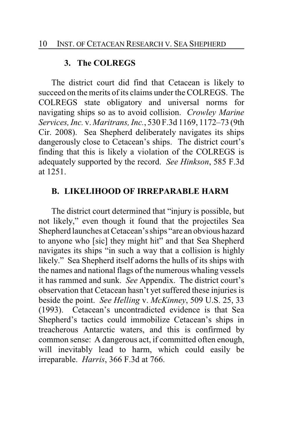### **3. The COLREGS**

The district court did find that Cetacean is likely to succeed on the merits of its claims under the COLREGS. The COLREGS state obligatory and universal norms for navigating ships so as to avoid collision. *Crowley Marine Services, Inc.* v. *Maritrans, Inc.*, 530 F.3d 1169, 1172–73 (9th Cir. 2008). Sea Shepherd deliberately navigates its ships dangerously close to Cetacean's ships. The district court's finding that this is likely a violation of the COLREGS is adequately supported by the record. *See Hinkson*, 585 F.3d at 1251.

### **B. LIKELIHOOD OF IRREPARABLE HARM**

The district court determined that "injury is possible, but not likely," even though it found that the projectiles Sea Shepherd launches at Cetacean's ships "are an obvious hazard to anyone who [sic] they might hit" and that Sea Shepherd navigates its ships "in such a way that a collision is highly likely." Sea Shepherd itself adorns the hulls of its ships with the names and national flags of the numerous whaling vessels it has rammed and sunk. *See* Appendix. The district court's observation that Cetacean hasn't yet suffered these injuries is beside the point. *See Helling* v. *McKinney*, 509 U.S. 25, 33 (1993). Cetacean's uncontradicted evidence is that Sea Shepherd's tactics could immobilize Cetacean's ships in treacherous Antarctic waters, and this is confirmed by common sense: A dangerous act, if committed often enough, will inevitably lead to harm, which could easily be irreparable. *Harris*, 366 F.3d at 766.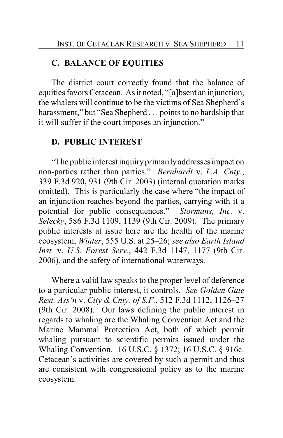#### **C. BALANCE OF EQUITIES**

The district court correctly found that the balance of equities favors Cetacean. As it noted, "[a]bsent an injunction, the whalers will continue to be the victims of Sea Shepherd's harassment," but "Sea Shepherd . . . points to no hardship that it will suffer if the court imposes an injunction."

#### **D. PUBLIC INTEREST**

"The public interest inquiryprimarilyaddressesimpact on non-parties rather than parties." *Bernhardt* v. *L.A. Cnty.*, 339 F.3d 920, 931 (9th Cir. 2003) (internal quotation marks omitted). This is particularly the case where "the impact of an injunction reaches beyond the parties, carrying with it a potential for public consequences." *Stormans, Inc.* v. *Selecky*, 586 F.3d 1109, 1139 (9th Cir. 2009). The primary public interests at issue here are the health of the marine ecosystem, *Winter*, 555 U.S. at 25–26; *see also Earth Island Inst.* v. *U.S. Forest Serv.*, 442 F.3d 1147, 1177 (9th Cir. 2006), and the safety of international waterways.

Where a valid law speaks to the proper level of deference to a particular public interest, it controls. *See Golden Gate Rest. Ass'n* v. *City & Cnty. of S.F.*, 512 F.3d 1112, 1126–27 (9th Cir. 2008). Our laws defining the public interest in regards to whaling are the Whaling Convention Act and the Marine Mammal Protection Act, both of which permit whaling pursuant to scientific permits issued under the Whaling Convention. 16 U.S.C. § 1372; 16 U.S.C. § 916c. Cetacean's activities are covered by such a permit and thus are consistent with congressional policy as to the marine ecosystem.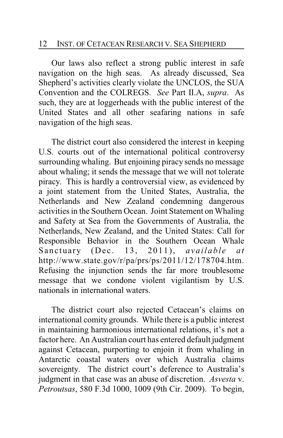Our laws also reflect a strong public interest in safe navigation on the high seas. As already discussed, Sea Shepherd's activities clearly violate the UNCLOS, the SUA Convention and the COLREGS. *See* Part II.A, *supra*. As such, they are at loggerheads with the public interest of the United States and all other seafaring nations in safe navigation of the high seas.

The district court also considered the interest in keeping U.S. courts out of the international political controversy surrounding whaling. But enjoining piracy sends no message about whaling; it sends the message that we will not tolerate piracy. This is hardly a controversial view, as evidenced by a joint statement from the United States, Australia, the Netherlands and New Zealand condemning dangerous activities in the Southern Ocean. Joint Statement on Whaling and Safety at Sea from the Governments of Australia, the Netherlands, New Zealand, and the United States: Call for Responsible Behavior in the Southern Ocean Whale Sanctuary (Dec. 13, 2011), *available at* http://www.state.gov/r/pa/prs/ps/2011/12/178704.htm. Refusing the injunction sends the far more troublesome message that we condone violent vigilantism by U.S. nationals in international waters.

The district court also rejected Cetacean's claims on international comity grounds. While there is a public interest in maintaining harmonious international relations, it's not a factor here. An Australian court has entered default judgment against Cetacean, purporting to enjoin it from whaling in Antarctic coastal waters over which Australia claims sovereignty. The district court's deference to Australia's judgment in that case was an abuse of discretion. *Asvesta* v. *Petroutsas*, 580 F.3d 1000, 1009 (9th Cir. 2009). To begin,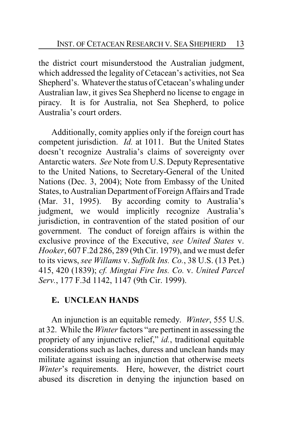the district court misunderstood the Australian judgment, which addressed the legality of Cetacean's activities, not Sea Shepherd's. Whatever the status of Cetacean's whaling under Australian law, it gives Sea Shepherd no license to engage in piracy. It is for Australia, not Sea Shepherd, to police Australia's court orders.

Additionally, comity applies only if the foreign court has competent jurisdiction. *Id.* at 1011. But the United States doesn't recognize Australia's claims of sovereignty over Antarctic waters. *See* Note from U.S. Deputy Representative to the United Nations, to Secretary-General of the United Nations (Dec. 3, 2004); Note from Embassy of the United States, to Australian Department of Foreign Affairs and Trade (Mar. 31, 1995). By according comity to Australia's judgment, we would implicitly recognize Australia's jurisdiction, in contravention of the stated position of our government. The conduct of foreign affairs is within the exclusive province of the Executive, *see United States* v. *Hooker*, 607 F.2d 286, 289 (9th Cir. 1979), and we must defer to its views, *see Willams* v. *Suffolk Ins. Co.*, 38 U.S. (13 Pet.) 415, 420 (1839); *cf. Mingtai Fire Ins. Co.* v. *United Parcel Serv.*, 177 F.3d 1142, 1147 (9th Cir. 1999).

## **E. UNCLEAN HANDS**

An injunction is an equitable remedy. *Winter*, 555 U.S. at 32. While the *Winter*factors "are pertinent in assessing the propriety of any injunctive relief," *id.*, traditional equitable considerations such as laches, duress and unclean hands may militate against issuing an injunction that otherwise meets *Winter*'s requirements. Here, however, the district court abused its discretion in denying the injunction based on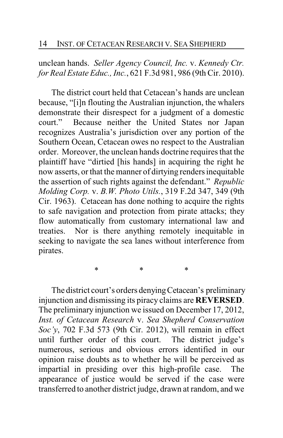unclean hands. *Seller Agency Council, Inc.* v. *Kennedy Ctr. for Real Estate Educ., Inc.*, 621 F.3d 981, 986 (9th Cir. 2010).

The district court held that Cetacean's hands are unclean because, "[i]n flouting the Australian injunction, the whalers demonstrate their disrespect for a judgment of a domestic court." Because neither the United States nor Japan recognizes Australia's jurisdiction over any portion of the Southern Ocean, Cetacean owes no respect to the Australian order. Moreover, the unclean hands doctrine requires that the plaintiff have "dirtied [his hands] in acquiring the right he now asserts, or that the manner of dirtying renders inequitable the assertion of such rights against the defendant." *Republic Molding Corp.* v. *B.W. Photo Utils.*, 319 F.2d 347, 349 (9th Cir. 1963). Cetacean has done nothing to acquire the rights to safe navigation and protection from pirate attacks; they flow automatically from customary international law and treaties. Nor is there anything remotely inequitable in seeking to navigate the sea lanes without interference from pirates.

The district court's orders denying Cetacean's preliminary injunction and dismissing its piracy claims are **REVERSED**. The preliminary injunction we issued on December 17, 2012, *Inst. of Cetacean Research* v. *Sea Shepherd Conservation Soc'y*, 702 F.3d 573 (9th Cir. 2012), will remain in effect until further order of this court. The district judge's numerous, serious and obvious errors identified in our opinion raise doubts as to whether he will be perceived as impartial in presiding over this high-profile case. The appearance of justice would be served if the case were transferred to another district judge, drawn at random, and we

\* \* \*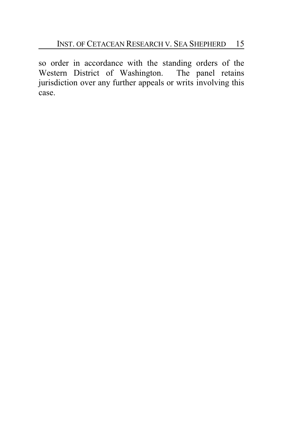so order in accordance with the standing orders of the Western District of Washington. The panel retains jurisdiction over any further appeals or writs involving this case.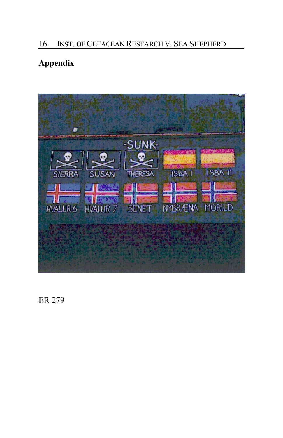### 16 INST. OF CETACEAN RESEARCH V. SEA SHEPHERD

# **Appendix**



ER 279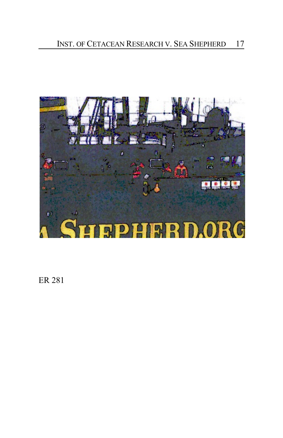

ER 281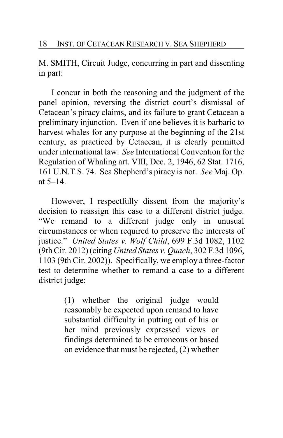M. SMITH, Circuit Judge, concurring in part and dissenting in part:

I concur in both the reasoning and the judgment of the panel opinion, reversing the district court's dismissal of Cetacean's piracy claims, and its failure to grant Cetacean a preliminary injunction. Even if one believes it is barbaric to harvest whales for any purpose at the beginning of the 21st century, as practiced by Cetacean, it is clearly permitted under international law. *See* International Convention for the Regulation of Whaling art. VIII, Dec. 2, 1946, 62 Stat. 1716, 161 U.N.T.S. 74. Sea Shepherd's piracy is not. *See* Maj. Op. at 5–14.

However, I respectfully dissent from the majority's decision to reassign this case to a different district judge. "We remand to a different judge only in unusual circumstances or when required to preserve the interests of justice." *United States v. Wolf Child*, 699 F.3d 1082, 1102 (9th Cir. 2012) (citing *United States v. Quach*, 302 F.3d 1096, 1103 (9th Cir. 2002)). Specifically, we employ a three-factor test to determine whether to remand a case to a different district judge:

> (1) whether the original judge would reasonably be expected upon remand to have substantial difficulty in putting out of his or her mind previously expressed views or findings determined to be erroneous or based on evidence that must be rejected, (2) whether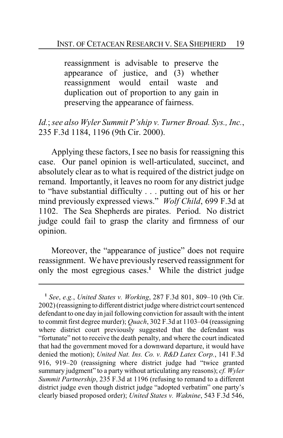reassignment is advisable to preserve the appearance of justice, and (3) whether reassignment would entail waste and duplication out of proportion to any gain in preserving the appearance of fairness.

*Id.*; *see also Wyler Summit P'ship v. Turner Broad. Sys., Inc.*, 235 F.3d 1184, 1196 (9th Cir. 2000).

Applying these factors, I see no basis for reassigning this case. Our panel opinion is well-articulated, succinct, and absolutely clear as to what is required of the district judge on remand. Importantly, it leaves no room for any district judge to "have substantial difficulty . . . putting out of his or her mind previously expressed views." *Wolf Child*, 699 F.3d at 1102. The Sea Shepherds are pirates. Period. No district judge could fail to grasp the clarity and firmness of our opinion.

Moreover, the "appearance of justice" does not require reassignment. We have previously reserved reassignment for only the most egregious cases.**<sup>1</sup>** While the district judge

**<sup>1</sup>** *See*, *e.g.*, *United States v. Working*, 287 F.3d 801, 809–10 (9th Cir. 2002) (reassigning to different district judge where district court sentenced defendant to one day in jail following conviction for assault with the intent to commit first degree murder); *Quach*, 302 F.3d at 1103–04 (reassigning where district court previously suggested that the defendant was "fortunate" not to receive the death penalty, and where the court indicated that had the government moved for a downward departure, it would have denied the motion); *United Nat. Ins. Co. v. R&D Latex Corp.*, 141 F.3d 916, 919–20 (reassigning where district judge had "twice granted summary judgment" to a party without articulating any reasons); *cf. Wyler Summit Partnership*, 235 F.3d at 1196 (refusing to remand to a different district judge even though district judge "adopted verbatim" one party's clearly biased proposed order); *United States v. Waknine*, 543 F.3d 546,